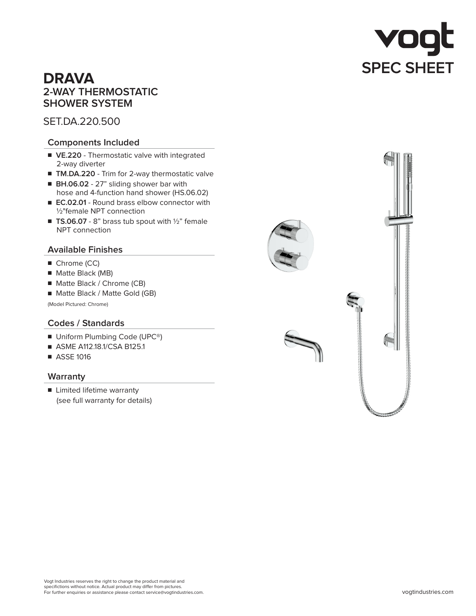

## **DRAVA 2-WAY THERMOSTATIC SHOWER SYSTEM**

SET.DA.220.500

#### **Components Included**

- **VE.220**  Thermostatic valve with integrated 2-way diverter
- **TM.DA.220** Trim for 2-way thermostatic valve
- **BH.06.02** 27" sliding shower bar with hose and 4-function hand shower (HS.06.02)
- **EC.02.01** Round brass elbow connector with 1/2"female NPT connection
- $\blacksquare$  **<b>TS.06.07** 8" brass tub spout with  $\frac{1}{2}$ " female NPT connection

#### **Available Finishes**

- Chrome (CC)
- Matte Black (MB)
- Matte Black / Chrome (CB)
- Matte Black / Matte Gold (GB)

(Model Pictured: Chrome)

#### **Codes / Standards**

- Uniform Plumbing Code (UPC<sup>®</sup>)
- ASME A112.18.1/CSA B125.1
- ASSE 1016

#### **Warranty**

■ Limited lifetime warranty (see full warranty for details)

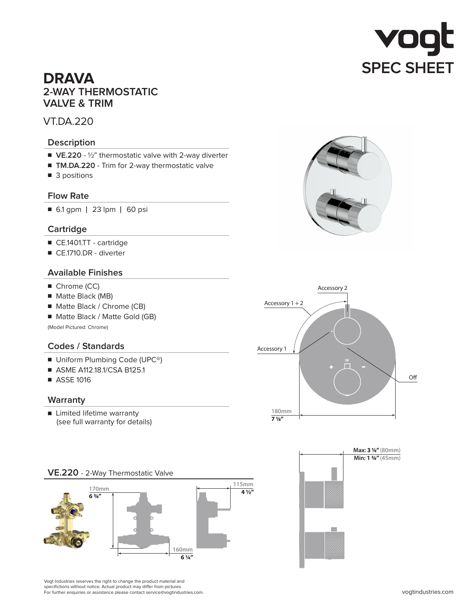

## **DRAVA 2-WAY THERMOSTATIC VALVE & TRIM**

## VT.DA.220

#### **Description**

- VE.220 1/2" thermostatic valve with 2-way diverter
- **TM.DA.220** Trim for 2-way thermostatic valve
- 3 positions

#### **Flow Rate**

■ 6.1 gpm **|** 23 lpm **|** 60 psi

#### **Cartridge**

- CE.1401.TT cartridge
- CE.1710.DR diverter

#### **Available Finishes**

- Chrome (CC)
- Matte Black (MB)
- Matte Black / Chrome (CB)
- Matte Black / Matte Gold (GB)

(Model Pictured: Chrome)

#### **Codes / Standards**

- Uniform Plumbing Code (UPC<sup>®</sup>)
- ASME A112.18.1/CSA B125.1
- ASSE 1016

#### **Warranty**

■ Limited lifetime warranty (see full warranty for details)







Vogt Industries reserves the right to change the product material and specifictions without notice. Actual product may differ from pictures. For further enquiries or assistance please contact service@vogtindustries.com.



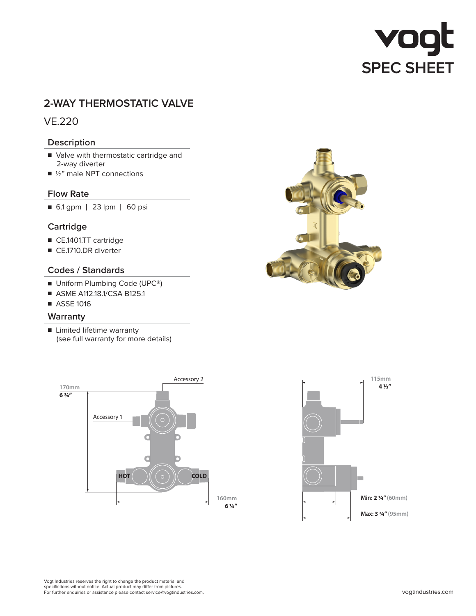# VO **SPEC SHEET**

# **2-WAY THERMOSTATIC VALVE**

## VE.220

#### **Description**

- Valve with thermostatic cartridge and 2-way diverter
- 1/2" male NPT connections

#### **Flow Rate**

■ 6.1 gpm **|** 23 lpm **|** 60 psi

#### **Cartridge**

- CE.1401.TT cartridge
- CE.1710.DR diverter

#### **Codes / Standards**

- Uniform Plumbing Code (UPC<sup>®</sup>)
- ASME A112.18.1/CSA B125.1
- ASSE 1016

#### **Warranty**

■ Limited lifetime warranty (see full warranty for more details)





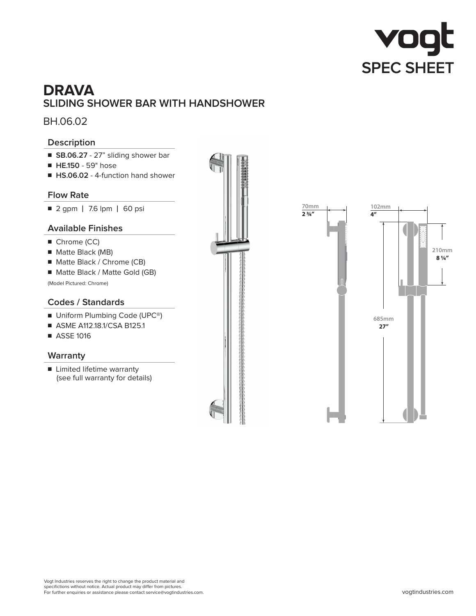

# **DRAVA SLIDING SHOWER BAR WITH HANDSHOWER**

### BH.06.02

#### **Description**

- **SB.06.27** 27" sliding shower bar
- **HE.150** 59" hose
- **HS.06.02** 4-function hand shower

#### **Flow Rate**

■ 2 gpm **|** 7.6 lpm **|** 60 psi

#### **Available Finishes**

- Chrome (CC)
- Matte Black (MB)
- Matte Black / Chrome (CB)
- Matte Black / Matte Gold (GB)

(Model Pictured: Chrome)

#### **Codes / Standards**

- Uniform Plumbing Code (UPC<sup>®</sup>)
- ASME A112.18.1/CSA B125.1
- ASSE 1016

#### **Warranty**

■ Limited lifetime warranty (see full warranty for details)



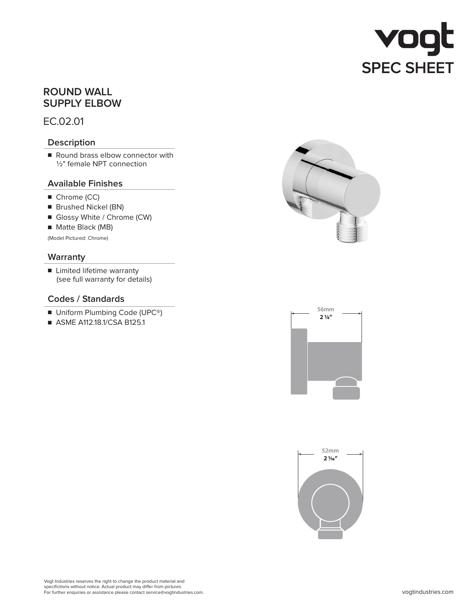

## **ROUND WALL SUPPLY ELBOW**

EC.02.01

#### **Description**

■ Round brass elbow connector with 1/2" female NPT connection

#### **Available Finishes**

- Chrome (CC)
- Brushed Nickel (BN)
- Glossy White / Chrome (CW)
- Matte Black (MB)

(Model Pictured: Chrome)

#### **Warranty**

■ Limited lifetime warranty (see full warranty for details)

#### **Codes / Standards**

- Uniform Plumbing Code (UPC<sup>®</sup>)
- ASME A112.18.1/CSA B125.1